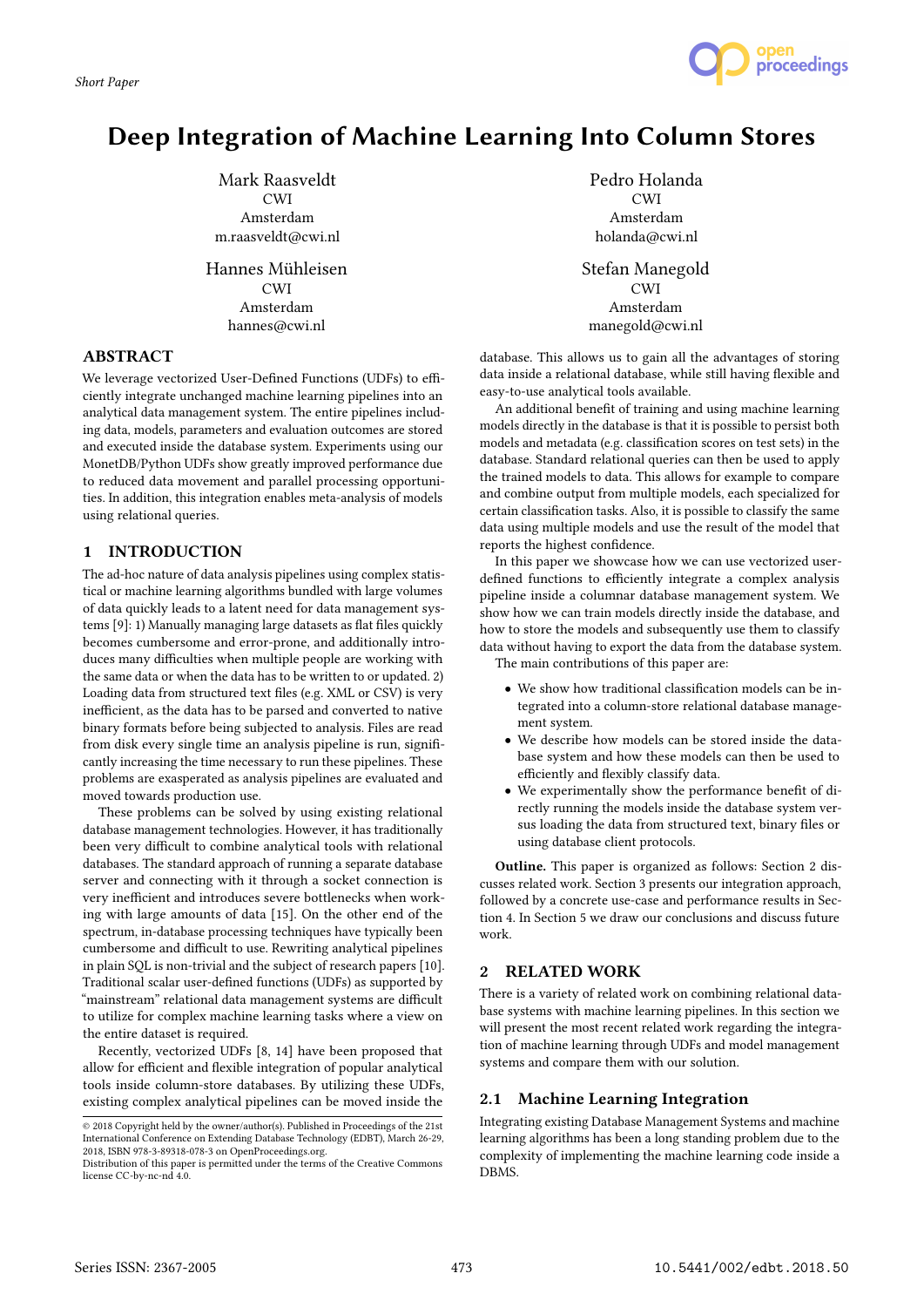

# Deep Integration of Machine Learning Into Column Stores

Mark Raasveldt **CWI** Amsterdam m.raasveldt@cwi.nl

Hannes Mühleisen  $C$ WI Amsterdam hannes@cwi.nl

# ABSTRACT

We leverage vectorized User-Defined Functions (UDFs) to efficiently integrate unchanged machine learning pipelines into an analytical data management system. The entire pipelines including data, models, parameters and evaluation outcomes are stored and executed inside the database system. Experiments using our MonetDB/Python UDFs show greatly improved performance due to reduced data movement and parallel processing opportunities. In addition, this integration enables meta-analysis of models using relational queries.

## 1 INTRODUCTION

The ad-hoc nature of data analysis pipelines using complex statistical or machine learning algorithms bundled with large volumes of data quickly leads to a latent need for data management systems [9]: 1) Manually managing large datasets as flat files quickly becomes cumbersome and error-prone, and additionally introduces many difficulties when multiple people are working with the same data or when the data has to be written to or updated. 2) Loading data from structured text files (e.g. XML or CSV) is very inefficient, as the data has to be parsed and converted to native binary formats before being subjected to analysis. Files are read from disk every single time an analysis pipeline is run, significantly increasing the time necessary to run these pipelines. These problems are exasperated as analysis pipelines are evaluated and moved towards production use.

These problems can be solved by using existing relational database management technologies. However, it has traditionally been very difficult to combine analytical tools with relational databases. The standard approach of running a separate database server and connecting with it through a socket connection is very inefficient and introduces severe bottlenecks when working with large amounts of data [15]. On the other end of the spectrum, in-database processing techniques have typically been cumbersome and difficult to use. Rewriting analytical pipelines in plain SQL is non-trivial and the subject of research papers [10]. Traditional scalar user-defined functions (UDFs) as supported by "mainstream" relational data management systems are difficult to utilize for complex machine learning tasks where a view on the entire dataset is required.

Recently, vectorized UDFs [8, 14] have been proposed that allow for efficient and flexible integration of popular analytical tools inside column-store databases. By utilizing these UDFs, existing complex analytical pipelines can be moved inside the

Pedro Holanda CWI Amsterdam holanda@cwi.nl Stefan Manegold CWI Amsterdam manegold@cwi.nl

database. This allows us to gain all the advantages of storing data inside a relational database, while still having flexible and easy-to-use analytical tools available.

An additional benefit of training and using machine learning models directly in the database is that it is possible to persist both models and metadata (e.g. classification scores on test sets) in the database. Standard relational queries can then be used to apply the trained models to data. This allows for example to compare and combine output from multiple models, each specialized for certain classification tasks. Also, it is possible to classify the same data using multiple models and use the result of the model that reports the highest confidence.

In this paper we showcase how we can use vectorized userdefined functions to efficiently integrate a complex analysis pipeline inside a columnar database management system. We show how we can train models directly inside the database, and how to store the models and subsequently use them to classify data without having to export the data from the database system. The main contributions of this paper are:

- We show how traditional classification models can be integrated into a column-store relational database management system.
- We describe how models can be stored inside the database system and how these models can then be used to efficiently and flexibly classify data.
- We experimentally show the performance benefit of directly running the models inside the database system versus loading the data from structured text, binary files or using database client protocols.

Outline. This paper is organized as follows: Section 2 discusses related work. Section 3 presents our integration approach, followed by a concrete use-case and performance results in Section 4. In Section 5 we draw our conclusions and discuss future work.

# 2 RELATED WORK

There is a variety of related work on combining relational database systems with machine learning pipelines. In this section we will present the most recent related work regarding the integration of machine learning through UDFs and model management systems and compare them with our solution.

# 2.1 Machine Learning Integration

Integrating existing Database Management Systems and machine learning algorithms has been a long standing problem due to the complexity of implementing the machine learning code inside a DBMS.

 $\overline{\textcircled{\texttt{a}}}$  2018 Copyright held by the owner/author(s). Published in Proceedings of the 21st International Conference on Extending Database Technology (EDBT), March 26-29, 2018, ISBN 978-3-89318-078-3 on OpenProceedings.org.

Distribution of this paper is permitted under the terms of the Creative Commons license CC-by-nc-nd 4.0.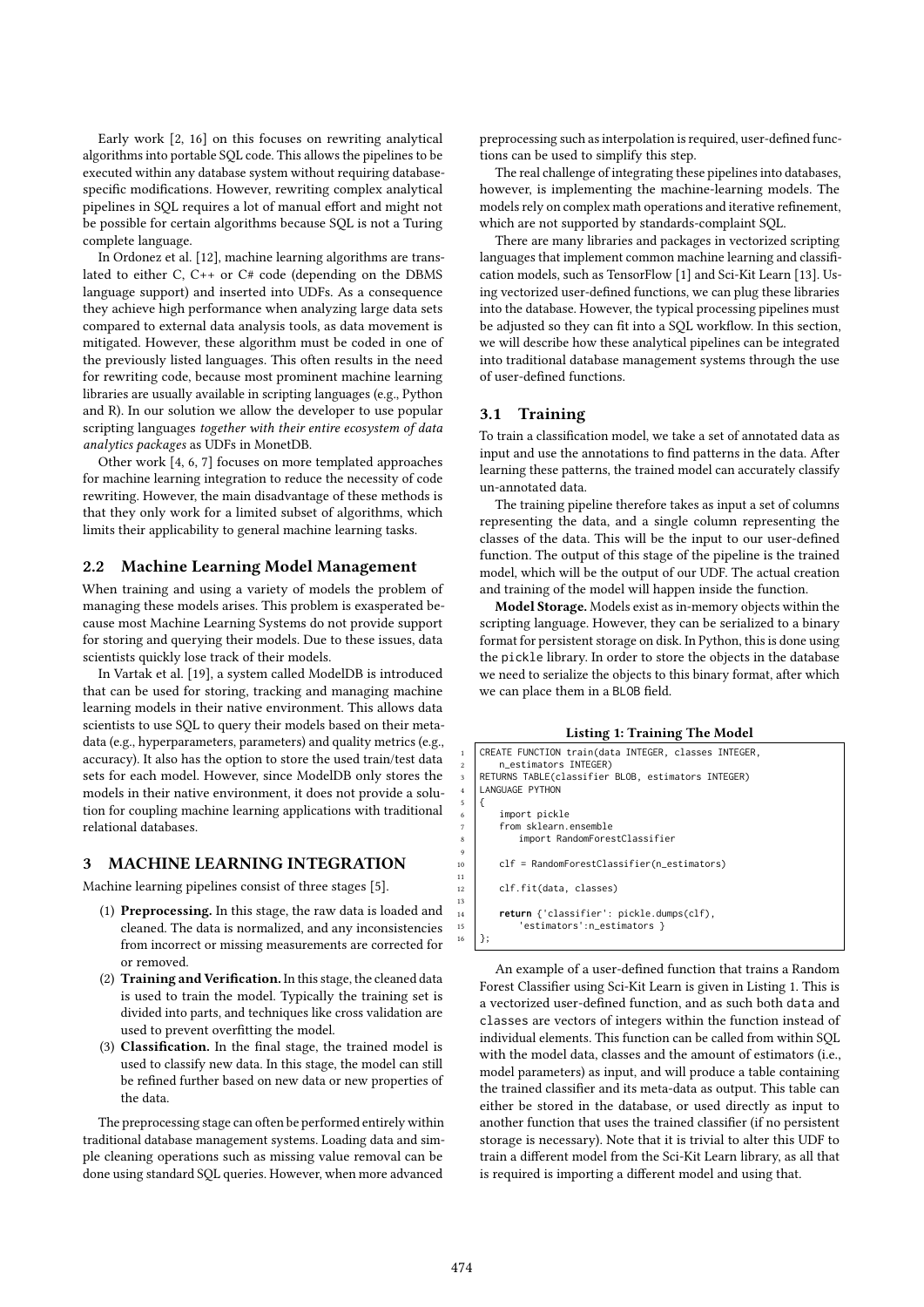Early work [2, 16] on this focuses on rewriting analytical algorithms into portable SQL code. This allows the pipelines to be executed within any database system without requiring databasespecific modifications. However, rewriting complex analytical pipelines in SQL requires a lot of manual effort and might not be possible for certain algorithms because SQL is not a Turing complete language.

In Ordonez et al. [12], machine learning algorithms are translated to either C, C++ or C# code (depending on the DBMS language support) and inserted into UDFs. As a consequence they achieve high performance when analyzing large data sets compared to external data analysis tools, as data movement is mitigated. However, these algorithm must be coded in one of the previously listed languages. This often results in the need for rewriting code, because most prominent machine learning libraries are usually available in scripting languages (e.g., Python and R). In our solution we allow the developer to use popular scripting languages together with their entire ecosystem of data analytics packages as UDFs in MonetDB.

Other work [4, 6, 7] focuses on more templated approaches for machine learning integration to reduce the necessity of code rewriting. However, the main disadvantage of these methods is that they only work for a limited subset of algorithms, which limits their applicability to general machine learning tasks.

# 2.2 Machine Learning Model Management

When training and using a variety of models the problem of managing these models arises. This problem is exasperated because most Machine Learning Systems do not provide support for storing and querying their models. Due to these issues, data scientists quickly lose track of their models.

In Vartak et al. [19], a system called ModelDB is introduced that can be used for storing, tracking and managing machine learning models in their native environment. This allows data scientists to use SQL to query their models based on their metadata (e.g., hyperparameters, parameters) and quality metrics (e.g., accuracy). It also has the option to store the used train/test data sets for each model. However, since ModelDB only stores the models in their native environment, it does not provide a solution for coupling machine learning applications with traditional relational databases.

## 3 MACHINE LEARNING INTEGRATION

Machine learning pipelines consist of three stages [5].

- (1) Preprocessing. In this stage, the raw data is loaded and cleaned. The data is normalized, and any inconsistencies from incorrect or missing measurements are corrected for or removed.
- (2) Training and Verification. In this stage, the cleaned data is used to train the model. Typically the training set is divided into parts, and techniques like cross validation are used to prevent overfitting the model.
- (3) Classification. In the final stage, the trained model is used to classify new data. In this stage, the model can still be refined further based on new data or new properties of the data.

The preprocessing stage can often be performed entirely within traditional database management systems. Loading data and simple cleaning operations such as missing value removal can be done using standard SQL queries. However, when more advanced

preprocessing such as interpolation is required, user-defined functions can be used to simplify this step.

The real challenge of integrating these pipelines into databases, however, is implementing the machine-learning models. The models rely on complex math operations and iterative refinement, which are not supported by standards-complaint SQL.

There are many libraries and packages in vectorized scripting languages that implement common machine learning and classification models, such as TensorFlow [1] and Sci-Kit Learn [13]. Using vectorized user-defined functions, we can plug these libraries into the database. However, the typical processing pipelines must be adjusted so they can fit into a SQL workflow. In this section, we will describe how these analytical pipelines can be integrated into traditional database management systems through the use of user-defined functions.

## 3.1 Training

To train a classification model, we take a set of annotated data as input and use the annotations to find patterns in the data. After learning these patterns, the trained model can accurately classify un-annotated data.

The training pipeline therefore takes as input a set of columns representing the data, and a single column representing the classes of the data. This will be the input to our user-defined function. The output of this stage of the pipeline is the trained model, which will be the output of our UDF. The actual creation and training of the model will happen inside the function.

Model Storage. Models exist as in-memory objects within the scripting language. However, they can be serialized to a binary format for persistent storage on disk. In Python, this is done using the pickle library. In order to store the objects in the database we need to serialize the objects to this binary format, after which we can place them in a BLOB field.

#### Listing 1: Training The Model

| $\mathbf{1}$   | CREATE FUNCTION train(data INTEGER, classes INTEGER, |
|----------------|------------------------------------------------------|
| 2              | n_estimators INTEGER)                                |
| 3              | RETURNS TABLE(classifier BLOB, estimators INTEGER)   |
| $\overline{4}$ | LANGUAGE PYTHON                                      |
| 5              |                                                      |
| 6              | import pickle                                        |
| $\overline{7}$ | from sklearn.ensemble                                |
| 8              | import RandomForestClassifier                        |
| $\mathbf{q}$   |                                                      |
| 10             | clf = RandomForestClassifier(n_estimators)           |
| 11             |                                                      |
| 12             | clf.fit(data, classes)                               |
| 13             |                                                      |
| 14             | return {'classifier': pickle.dumps(clf),             |
| 15             | 'estimators':n_estimators }                          |
| 16             |                                                      |
|                |                                                      |

An example of a user-defined function that trains a Random Forest Classifier using Sci-Kit Learn is given in Listing 1. This is a vectorized user-defined function, and as such both data and classes are vectors of integers within the function instead of individual elements. This function can be called from within SQL with the model data, classes and the amount of estimators (i.e., model parameters) as input, and will produce a table containing the trained classifier and its meta-data as output. This table can either be stored in the database, or used directly as input to another function that uses the trained classifier (if no persistent storage is necessary). Note that it is trivial to alter this UDF to train a different model from the Sci-Kit Learn library, as all that is required is importing a different model and using that.

11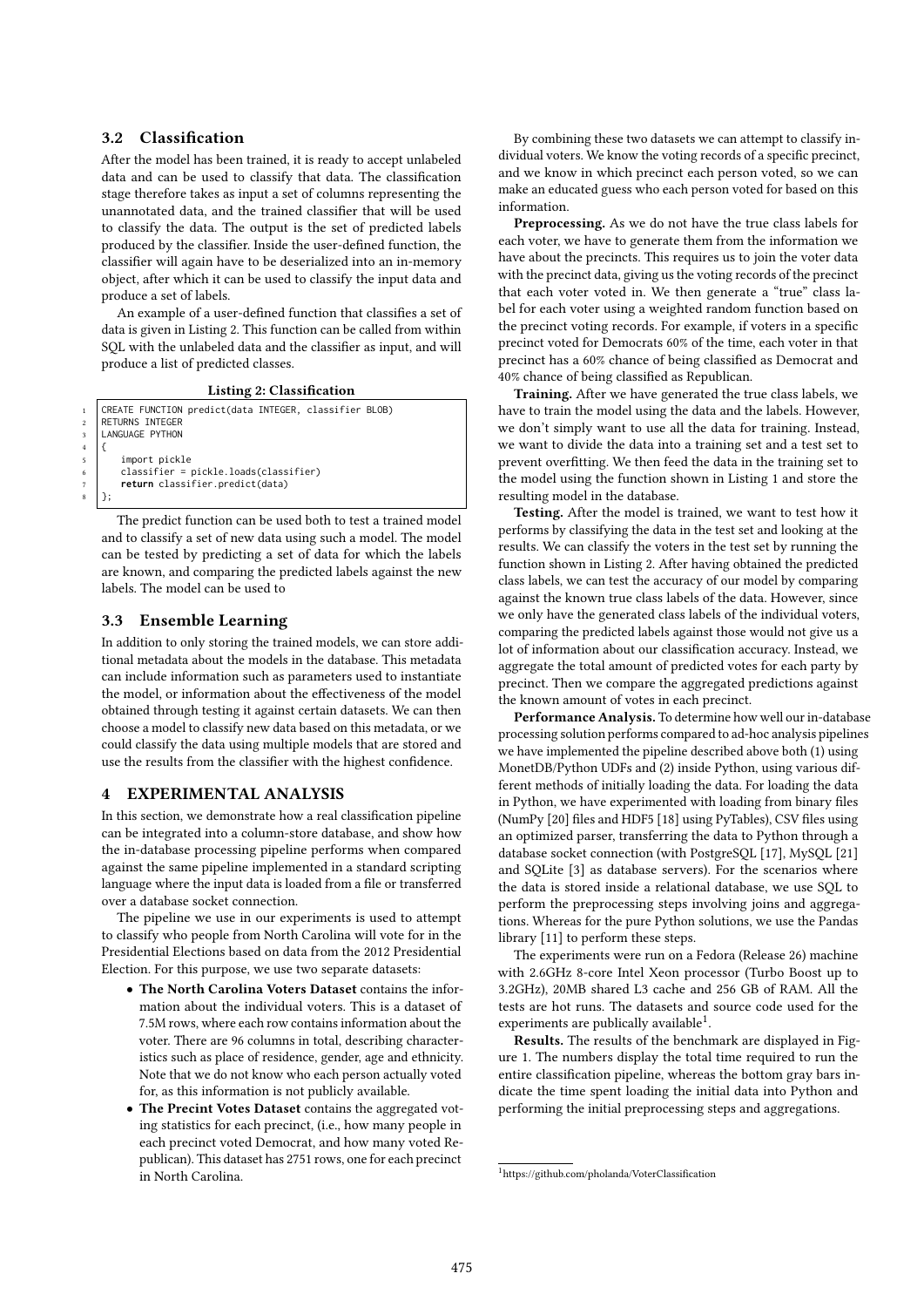## 3.2 Classification

After the model has been trained, it is ready to accept unlabeled data and can be used to classify that data. The classification stage therefore takes as input a set of columns representing the unannotated data, and the trained classifier that will be used to classify the data. The output is the set of predicted labels produced by the classifier. Inside the user-defined function, the classifier will again have to be deserialized into an in-memory object, after which it can be used to classify the input data and produce a set of labels.

An example of a user-defined function that classifies a set of data is given in Listing 2. This function can be called from within SQL with the unlabeled data and the classifier as input, and will produce a list of predicted classes.

Listing 2: Classification

| $\mathbf{1}$   | CREATE FUNCTION predict(data INTEGER, classifier BLOB) |
|----------------|--------------------------------------------------------|
| $\overline{a}$ | <b>RETURNS INTEGER</b>                                 |
| 3              | LANGUAGE PYTHON                                        |
|                |                                                        |
| $\overline{5}$ | import pickle                                          |
| 6              | classifier = pickle.loads(classifier)                  |
|                | return classifier.predict(data)                        |
|                |                                                        |
|                |                                                        |

The predict function can be used both to test a trained model and to classify a set of new data using such a model. The model can be tested by predicting a set of data for which the labels are known, and comparing the predicted labels against the new labels. The model can be used to

## 3.3 Ensemble Learning

In addition to only storing the trained models, we can store additional metadata about the models in the database. This metadata can include information such as parameters used to instantiate the model, or information about the effectiveness of the model obtained through testing it against certain datasets. We can then choose a model to classify new data based on this metadata, or we could classify the data using multiple models that are stored and use the results from the classifier with the highest confidence.

## 4 EXPERIMENTAL ANALYSIS

In this section, we demonstrate how a real classification pipeline can be integrated into a column-store database, and show how the in-database processing pipeline performs when compared against the same pipeline implemented in a standard scripting language where the input data is loaded from a file or transferred over a database socket connection.

The pipeline we use in our experiments is used to attempt to classify who people from North Carolina will vote for in the Presidential Elections based on data from the 2012 Presidential Election. For this purpose, we use two separate datasets:

- The North Carolina Voters Dataset contains the information about the individual voters. This is a dataset of 7.5M rows, where each row contains information about the voter. There are 96 columns in total, describing characteristics such as place of residence, gender, age and ethnicity. Note that we do not know who each person actually voted for, as this information is not publicly available.
- The Precint Votes Dataset contains the aggregated voting statistics for each precinct, (i.e., how many people in each precinct voted Democrat, and how many voted Republican). This dataset has 2751 rows, one for each precinct in North Carolina.

By combining these two datasets we can attempt to classify individual voters. We know the voting records of a specific precinct, and we know in which precinct each person voted, so we can make an educated guess who each person voted for based on this information.

Preprocessing. As we do not have the true class labels for each voter, we have to generate them from the information we have about the precincts. This requires us to join the voter data with the precinct data, giving us the voting records of the precinct that each voter voted in. We then generate a "true" class label for each voter using a weighted random function based on the precinct voting records. For example, if voters in a specific precinct voted for Democrats 60% of the time, each voter in that precinct has a 60% chance of being classified as Democrat and 40% chance of being classified as Republican.

Training. After we have generated the true class labels, we have to train the model using the data and the labels. However, we don't simply want to use all the data for training. Instead, we want to divide the data into a training set and a test set to prevent overfitting. We then feed the data in the training set to the model using the function shown in Listing 1 and store the resulting model in the database.

Testing. After the model is trained, we want to test how it performs by classifying the data in the test set and looking at the results. We can classify the voters in the test set by running the function shown in Listing 2. After having obtained the predicted class labels, we can test the accuracy of our model by comparing against the known true class labels of the data. However, since we only have the generated class labels of the individual voters, comparing the predicted labels against those would not give us a lot of information about our classification accuracy. Instead, we aggregate the total amount of predicted votes for each party by precinct. Then we compare the aggregated predictions against the known amount of votes in each precinct.

Performance Analysis. To determine how well our in-database processing solution performs compared to ad-hoc analysis pipelines we have implemented the pipeline described above both (1) using MonetDB/Python UDFs and (2) inside Python, using various different methods of initially loading the data. For loading the data in Python, we have experimented with loading from binary files (NumPy [20] files and HDF5 [18] using PyTables), CSV files using an optimized parser, transferring the data to Python through a database socket connection (with PostgreSQL [17], MySQL [21] and SQLite [3] as database servers). For the scenarios where the data is stored inside a relational database, we use SQL to perform the preprocessing steps involving joins and aggregations. Whereas for the pure Python solutions, we use the Pandas library [11] to perform these steps.

The experiments were run on a Fedora (Release 26) machine with 2.6GHz 8-core Intel Xeon processor (Turbo Boost up to 3.2GHz), 20MB shared L3 cache and 256 GB of RAM. All the tests are hot runs. The datasets and source code used for the experiments are publically available<sup>1</sup>.

Results. The results of the benchmark are displayed in Figure 1. The numbers display the total time required to run the entire classification pipeline, whereas the bottom gray bars indicate the time spent loading the initial data into Python and performing the initial preprocessing steps and aggregations.

 $^{\rm 1}$ https://github.com/pholanda/VoterClassification